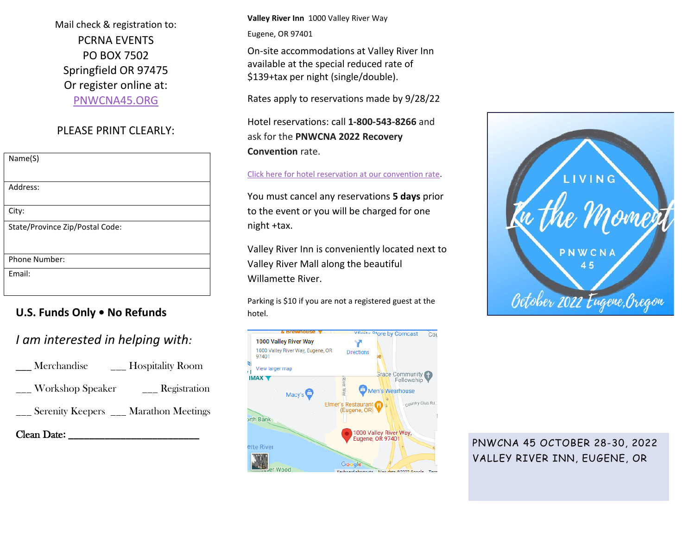Mail check & registration to: PCRNA EVENTS PO BOX 7502 Springfield OR 97475 Or register online at: [PNWCNA45.ORG](http://www.pnwcna45.org/)

### PLEASE PRINT CLEARLY:

| Name(S)                         |
|---------------------------------|
|                                 |
| Address:                        |
|                                 |
| City:                           |
| State/Province Zip/Postal Code: |
|                                 |
|                                 |
| <b>Phone Number:</b>            |
| Email:                          |
|                                 |

## **U.S. Funds Only • No Refunds**

# *I am interested in helping with:*

| <b>Hospitality Room</b><br>Merchandise  |  |
|-----------------------------------------|--|
| <b>Workshop Speaker</b><br>Registration |  |
| Serenity Keepers __ Marathon Meetings   |  |
| <b>Clean Date:</b>                      |  |

**Valley River Inn** 1000 Valley River Way

Eugene, OR 97401

On-site accommodations at Valley River Inn available at the special reduced rate of \$139+tax per night (single/double).

Rates apply to reservations made by 9/28/22

Hotel reservations: call **1-800-543-8266** and ask for the **PNWCNA 2022 Recovery Convention** rate.

### [Click here for hotel reservation at our convention rate.](https://be.synxis.com/?adult=1&arrive=2022-10-27&chain=18494&child=0¤cy=USD&depart=2022-10-31&group=1027PNWC&hotel=54960&level=hotel&locale=en-US&rooms=1)

You must cancel any reservations **5 days** prior to the event or you will be charged for one night +tax.

Valley River Inn is conveniently located next to Valley River Mall along the beautiful Willamette River.

Parking is \$10 if you are not a registered guest at the hotel.





PNWCNA 45 OCTOBER 28-30, 2022 VALLEY RIVER INN, EUGENE, OR